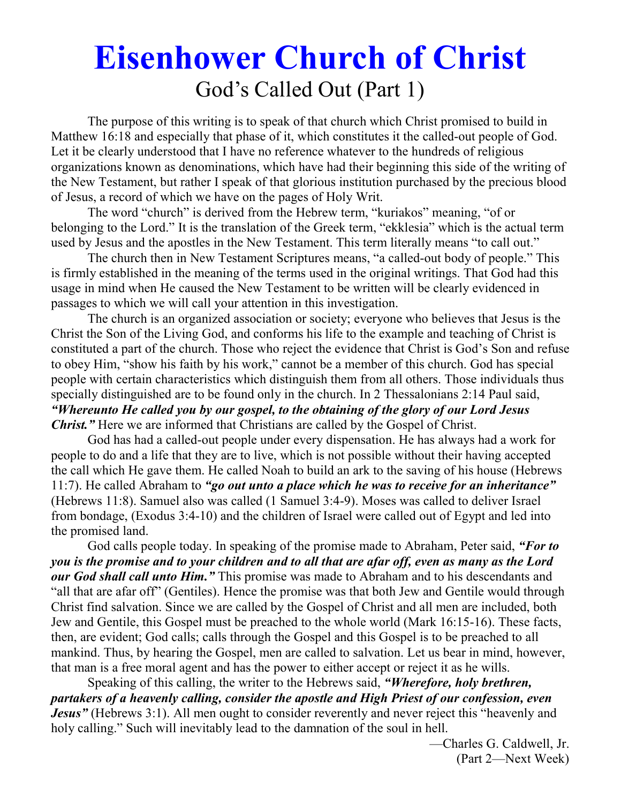# **Eisenhower Church of Christ**  God's Called Out (Part 1)

 The purpose of this writing is to speak of that church which Christ promised to build in Matthew 16:18 and especially that phase of it, which constitutes it the called-out people of God. Let it be clearly understood that I have no reference whatever to the hundreds of religious organizations known as denominations, which have had their beginning this side of the writing of the New Testament, but rather I speak of that glorious institution purchased by the precious blood of Jesus, a record of which we have on the pages of Holy Writ.

 The word "church" is derived from the Hebrew term, "kuriakos" meaning, "of or belonging to the Lord." It is the translation of the Greek term, "ekklesia" which is the actual term used by Jesus and the apostles in the New Testament. This term literally means "to call out."

 The church then in New Testament Scriptures means, "a called-out body of people." This is firmly established in the meaning of the terms used in the original writings. That God had this usage in mind when He caused the New Testament to be written will be clearly evidenced in passages to which we will call your attention in this investigation.

 The church is an organized association or society; everyone who believes that Jesus is the Christ the Son of the Living God, and conforms his life to the example and teaching of Christ is constituted a part of the church. Those who reject the evidence that Christ is God's Son and refuse to obey Him, "show his faith by his work," cannot be a member of this church. God has special people with certain characteristics which distinguish them from all others. Those individuals thus specially distinguished are to be found only in the church. In 2 Thessalonians 2:14 Paul said, *"Whereunto He called you by our gospel, to the obtaining of the glory of our Lord Jesus Christ.*" Here we are informed that Christians are called by the Gospel of Christ.

 God has had a called-out people under every dispensation. He has always had a work for people to do and a life that they are to live, which is not possible without their having accepted the call which He gave them. He called Noah to build an ark to the saving of his house (Hebrews 11:7). He called Abraham to *"go out unto a place which he was to receive for an inheritance"* (Hebrews 11:8). Samuel also was called (1 Samuel 3:4-9). Moses was called to deliver Israel from bondage, (Exodus 3:4-10) and the children of Israel were called out of Egypt and led into the promised land.

 God calls people today. In speaking of the promise made to Abraham, Peter said, *"For to you is the promise and to your children and to all that are afar off, even as many as the Lord our God shall call unto Him."* This promise was made to Abraham and to his descendants and "all that are afar off" (Gentiles). Hence the promise was that both Jew and Gentile would through Christ find salvation. Since we are called by the Gospel of Christ and all men are included, both Jew and Gentile, this Gospel must be preached to the whole world (Mark 16:15-16). These facts, then, are evident; God calls; calls through the Gospel and this Gospel is to be preached to all mankind. Thus, by hearing the Gospel, men are called to salvation. Let us bear in mind, however, that man is a free moral agent and has the power to either accept or reject it as he wills.

 Speaking of this calling, the writer to the Hebrews said, *"Wherefore, holy brethren, partakers of a heavenly calling, consider the apostle and High Priest of our confession, even Jesus* " (Hebrews 3:1). All men ought to consider reverently and never reject this "heavenly and holy calling." Such will inevitably lead to the damnation of the soul in hell.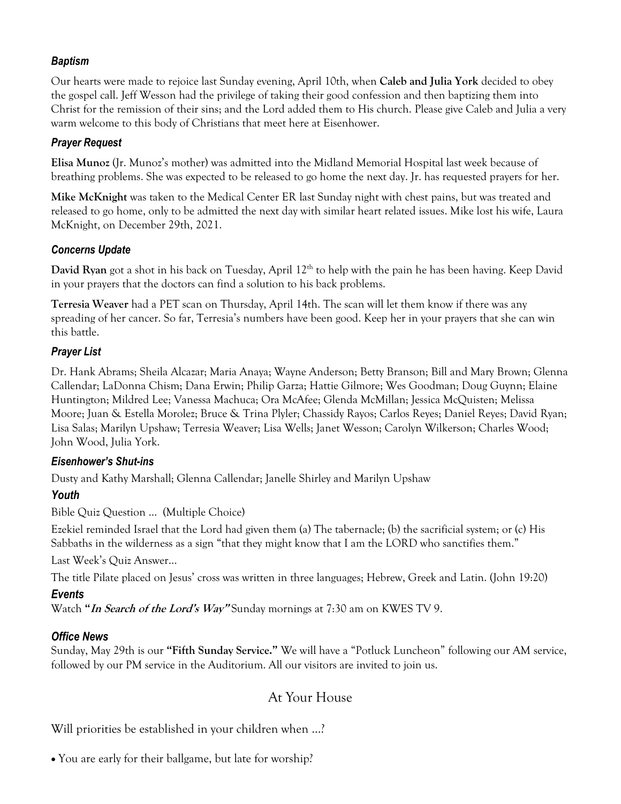#### *Baptism*

Our hearts were made to rejoice last Sunday evening, April 10th, when **Caleb and Julia York** decided to obey the gospel call. Jeff Wesson had the privilege of taking their good confession and then baptizing them into Christ for the remission of their sins; and the Lord added them to His church. Please give Caleb and Julia a very warm welcome to this body of Christians that meet here at Eisenhower.

#### *Prayer Request*

**Elisa Munoz** (Jr. Munoz's mother) was admitted into the Midland Memorial Hospital last week because of breathing problems. She was expected to be released to go home the next day. Jr. has requested prayers for her.

**Mike McKnight** was taken to the Medical Center ER last Sunday night with chest pains, but was treated and released to go home, only to be admitted the next day with similar heart related issues. Mike lost his wife, Laura McKnight, on December 29th, 2021.

#### *Concerns Update*

David Ryan got a shot in his back on Tuesday, April 12<sup>th</sup> to help with the pain he has been having. Keep David in your prayers that the doctors can find a solution to his back problems.

**Terresia Weaver** had a PET scan on Thursday, April 14th. The scan will let them know if there was any spreading of her cancer. So far, Terresia's numbers have been good. Keep her in your prayers that she can win this battle.

#### *Prayer List*

Dr. Hank Abrams; Sheila Alcazar; Maria Anaya; Wayne Anderson; Betty Branson; Bill and Mary Brown; Glenna Callendar; LaDonna Chism; Dana Erwin; Philip Garza; Hattie Gilmore; Wes Goodman; Doug Guynn; Elaine Huntington; Mildred Lee; Vanessa Machuca; Ora McAfee; Glenda McMillan; Jessica McQuisten; Melissa Moore; Juan & Estella Morolez; Bruce & Trina Plyler; Chassidy Rayos; Carlos Reyes; Daniel Reyes; David Ryan; Lisa Salas; Marilyn Upshaw; Terresia Weaver; Lisa Wells; Janet Wesson; Carolyn Wilkerson; Charles Wood; John Wood, Julia York.

#### *Eisenhower's Shut-ins*

Dusty and Kathy Marshall; Glenna Callendar; Janelle Shirley and Marilyn Upshaw

#### *Youth*

Bible Quiz Question … (Multiple Choice)

Ezekiel reminded Israel that the Lord had given them (a) The tabernacle; (b) the sacrificial system; or (c) His Sabbaths in the wilderness as a sign "that they might know that I am the LORD who sanctifies them."

Last Week's Quiz Answer…

The title Pilate placed on Jesus' cross was written in three languages; Hebrew, Greek and Latin. (John 19:20)

#### *Events*

Watch **"In Search of the Lord's Way"** Sunday mornings at 7:30 am on KWES TV 9.

#### *Office News*

Sunday, May 29th is our **"Fifth Sunday Service."** We will have a "Potluck Luncheon" following our AM service, followed by our PM service in the Auditorium. All our visitors are invited to join us.

## At Your House

Will priorities be established in your children when ...?

You are early for their ballgame, but late for worship?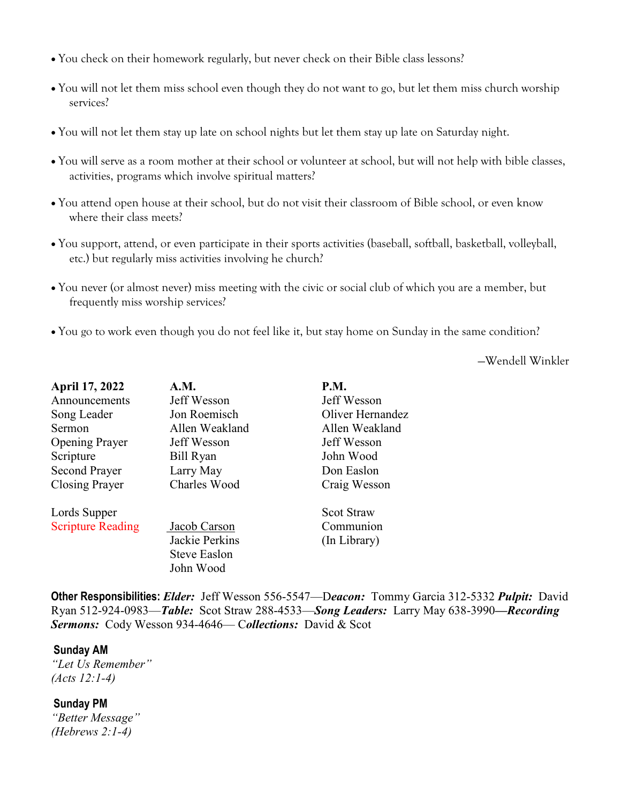- You check on their homework regularly, but never check on their Bible class lessons?
- You will not let them miss school even though they do not want to go, but let them miss church worship services?
- You will not let them stay up late on school nights but let them stay up late on Saturday night.
- You will serve as a room mother at their school or volunteer at school, but will not help with bible classes, activities, programs which involve spiritual matters?
- You attend open house at their school, but do not visit their classroom of Bible school, or even know where their class meets?
- You support, attend, or even participate in their sports activities (baseball, softball, basketball, volleyball, etc.) but regularly miss activities involving he church?
- You never (or almost never) miss meeting with the civic or social club of which you are a member, but frequently miss worship services?
- You go to work even though you do not feel like it, but stay home on Sunday in the same condition?

—Wendell Winkler

| April 17, 2022           | A.M.           | <b>P.M.</b>       |
|--------------------------|----------------|-------------------|
| Announcements            | Jeff Wesson    | Jeff Wesson       |
| Song Leader              | Jon Roemisch   | Oliver Hernandez  |
| Sermon                   | Allen Weakland | Allen Weakland    |
| <b>Opening Prayer</b>    | Jeff Wesson    | Jeff Wesson       |
| Scripture                | Bill Ryan      | John Wood         |
| <b>Second Prayer</b>     | Larry May      | Don Easlon        |
| Closing Prayer           | Charles Wood   | Craig Wesson      |
| Lords Supper             |                | <b>Scot Straw</b> |
| <b>Scripture Reading</b> | Jacob Carson   | Communion         |
|                          | Jackie Perkins | (In Library)      |
|                          | Steve Easlon   |                   |
|                          | John Wood      |                   |
|                          |                |                   |

**Other Responsibilities:** *Elder:* Jeff Wesson 556-5547—D*eacon:*Tommy Garcia 312-5332 *Pulpit:* David Ryan 512-924-0983—*Table:* Scot Straw 288-4533—*Song Leaders:* Larry May 638-3990*—Recording Sermons:* Cody Wesson 934-4646— C*ollections:* David & Scot

#### **Sunday AM**

*"Let Us Remember" (Acts 12:1-4)* 

**Sunday PM** *"Better Message" (Hebrews 2:1-4)*